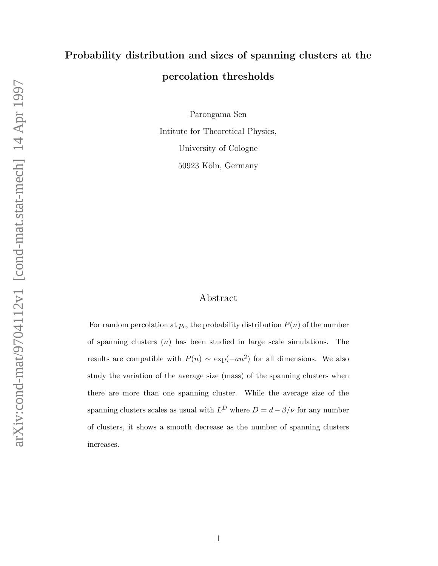## Probability distribution and sizes of spanning clusters at the percolation thresholds

Parongama Sen

Intitute for Theoretical Physics, University of Cologne 50923 Köln, Germany

## Abstract

For random percolation at  $p_c$ , the probability distribution  $P(n)$  of the number of spanning clusters  $(n)$  has been studied in large scale simulations. The results are compatible with  $P(n) \sim \exp(-an^2)$  for all dimensions. We also study the variation of the average size (mass) of the spanning clusters when there are more than one spanning cluster. While the average size of the spanning clusters scales as usual with  $L^D$  where  $D = d - \beta/\nu$  for any number of clusters, it shows a smooth decrease as the number of spanning clusters increases.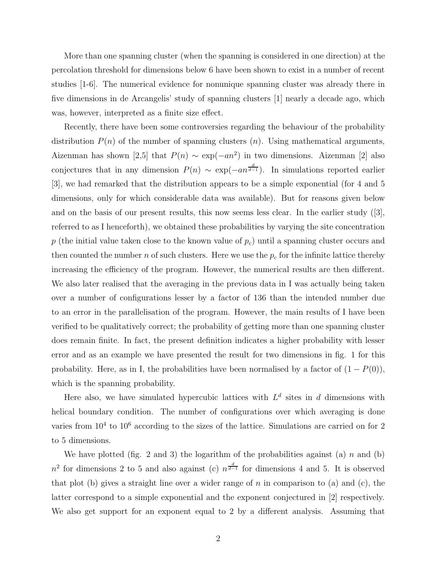More than one spanning cluster (when the spanning is considered in one direction) at the percolation threshold for dimensions below 6 have been shown to exist in a number of recent studies [1-6]. The numerical evidence for nonunique spanning cluster was already there in five dimensions in de Arcangelis' study of spanning clusters [1] nearly a decade ago, which was, however, interpreted as a finite size effect.

Recently, there have been some controversies regarding the behaviour of the probability distribution  $P(n)$  of the number of spanning clusters  $(n)$ . Using mathematical arguments, Aizenman has shown [2,5] that  $P(n) \sim \exp(-an^2)$  in two dimensions. Aizenman [2] also conjectures that in any dimension  $P(n) \sim \exp(-an^{\frac{d}{d-1}})$ . In simulations reported earlier [3], we had remarked that the distribution appears to be a simple exponential (for 4 and 5 dimensions, only for which considerable data was available). But for reasons given below and on the basis of our present results, this now seems less clear. In the earlier study ([3], referred to as I henceforth), we obtained these probabilities by varying the site concentration  $p$  (the initial value taken close to the known value of  $p_c$ ) until a spanning cluster occurs and then counted the number  $n$  of such clusters. Here we use the  $p_c$  for the infinite lattice thereby increasing the efficiency of the program. However, the numerical results are then different. We also later realised that the averaging in the previous data in I was actually being taken over a number of configurations lesser by a factor of 136 than the intended number due to an error in the parallelisation of the program. However, the main results of I have been verified to be qualitatively correct; the probability of getting more than one spanning cluster does remain finite. In fact, the present definition indicates a higher probability with lesser error and as an example we have presented the result for two dimensions in fig. 1 for this probability. Here, as in I, the probabilities have been normalised by a factor of  $(1 - P(0))$ , which is the spanning probability.

Here also, we have simulated hypercubic lattices with  $L<sup>d</sup>$  sites in d dimensions with helical boundary condition. The number of configurations over which averaging is done varies from  $10^4$  to  $10^6$  according to the sizes of the lattice. Simulations are carried on for 2 to 5 dimensions.

We have plotted (fig. 2 and 3) the logarithm of the probabilities against (a)  $n$  and (b)  $n^2$  for dimensions 2 to 5 and also against (c)  $n^{\frac{d}{d-1}}$  for dimensions 4 and 5. It is observed that plot (b) gives a straight line over a wider range of  $n$  in comparison to (a) and (c), the latter correspond to a simple exponential and the exponent conjectured in [2] respectively. We also get support for an exponent equal to 2 by a different analysis. Assuming that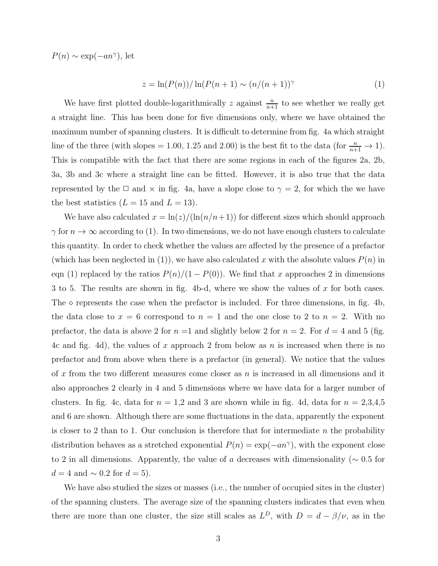$P(n) \sim \exp(-an^{\gamma}),$  let

$$
z = \ln(P(n)) / \ln(P(n+1)) \sim (n/(n+1))^{\gamma}
$$
 (1)

We have first plotted double-logarithmically z against  $\frac{n}{n+1}$  to see whether we really get a straight line. This has been done for five dimensions only, where we have obtained the maximum number of spanning clusters. It is difficult to determine from fig. 4a which straight line of the three (with slopes = 1.00, 1.25 and 2.00) is the best fit to the data (for  $\frac{n}{n+1} \to 1$ ). This is compatible with the fact that there are some regions in each of the figures 2a, 2b, 3a, 3b and 3c where a straight line can be fitted. However, it is also true that the data represented by the  $\Box$  and  $\times$  in fig. 4a, have a slope close to  $\gamma = 2$ , for which the we have the best statistics  $(L = 15 \text{ and } L = 13)$ .

We have also calculated  $x = \ln(z)/(\ln(n/n+1))$  for different sizes which should approach  $\gamma$  for  $n \to \infty$  according to (1). In two dimensions, we do not have enough clusters to calculate this quantity. In order to check whether the values are affected by the presence of a prefactor (which has been neglected in (1)), we have also calculated x with the absolute values  $P(n)$  in eqn (1) replaced by the ratios  $P(n)/(1 - P(0))$ . We find that x approaches 2 in dimensions 3 to 5. The results are shown in fig. 4b-d, where we show the values of x for both cases. The  $\diamond$  represents the case when the prefactor is included. For three dimensions, in fig. 4b, the data close to  $x = 6$  correspond to  $n = 1$  and the one close to 2 to  $n = 2$ . With no prefactor, the data is above 2 for  $n = 1$  and slightly below 2 for  $n = 2$ . For  $d = 4$  and 5 (fig. 4c and fig. 4d), the values of x approach 2 from below as n is increased when there is no prefactor and from above when there is a prefactor (in general). We notice that the values of x from the two different measures come closer as  $n$  is increased in all dimensions and it also approaches 2 clearly in 4 and 5 dimensions where we have data for a larger number of clusters. In fig. 4c, data for  $n = 1,2$  and 3 are shown while in fig. 4d, data for  $n = 2,3,4,5$ and 6 are shown. Although there are some fluctuations in the data, apparently the exponent is closer to 2 than to 1. Our conclusion is therefore that for intermediate  $n$  the probability distribution behaves as a stretched exponential  $P(n) = \exp(-an^{\gamma})$ , with the exponent close to 2 in all dimensions. Apparently, the value of a decreases with dimensionality ( $\sim 0.5$  for  $d = 4$  and  $\sim 0.2$  for  $d = 5$ ).

We have also studied the sizes or masses (i.e., the number of occupied sites in the cluster) of the spanning clusters. The average size of the spanning clusters indicates that even when there are more than one cluster, the size still scales as  $L^D$ , with  $D = d - \beta/\nu$ , as in the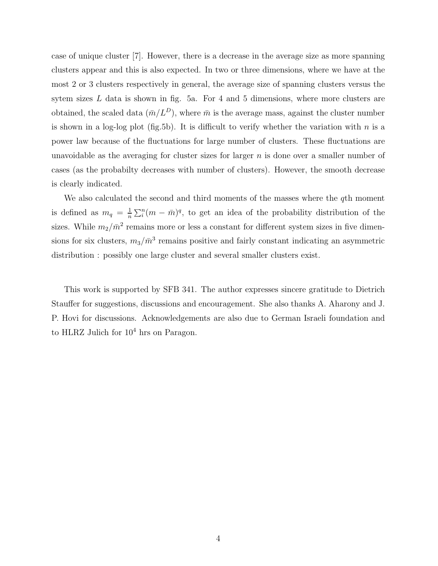case of unique cluster [7]. However, there is a decrease in the average size as more spanning clusters appear and this is also expected. In two or three dimensions, where we have at the most 2 or 3 clusters respectively in general, the average size of spanning clusters versus the sytem sizes  $L$  data is shown in fig. 5a. For 4 and 5 dimensions, where more clusters are obtained, the scaled data  $(\bar{m}/L^D)$ , where  $\bar{m}$  is the average mass, against the cluster number is shown in a log-log plot (fig.5b). It is difficult to verify whether the variation with  $n$  is a power law because of the fluctuations for large number of clusters. These fluctuations are unavoidable as the averaging for cluster sizes for larger  $n$  is done over a smaller number of cases (as the probabilty decreases with number of clusters). However, the smooth decrease is clearly indicated.

We also calculated the second and third moments of the masses where the  $q$ th moment is defined as  $m_q = \frac{1}{n}$  $\frac{1}{n}\sum_{i=1}^{n}(m - \bar{m})^q$ , to get an idea of the probability distribution of the sizes. While  $m_2/\bar{m}^2$  remains more or less a constant for different system sizes in five dimensions for six clusters,  $m_3/\bar{m}^3$  remains positive and fairly constant indicating an asymmetric distribution : possibly one large cluster and several smaller clusters exist.

This work is supported by SFB 341. The author expresses sincere gratitude to Dietrich Stauffer for suggestions, discussions and encouragement. She also thanks A. Aharony and J. P. Hovi for discussions. Acknowledgements are also due to German Israeli foundation and to HLRZ Julich for  $10^4$  hrs on Paragon.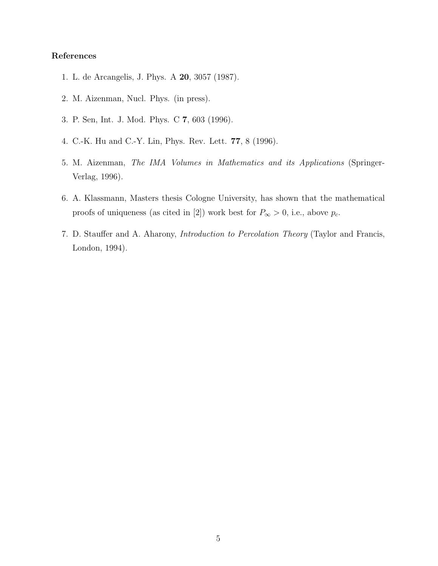## References

- 1. L. de Arcangelis, J. Phys. A 20, 3057 (1987).
- 2. M. Aizenman, Nucl. Phys. (in press).
- 3. P. Sen, Int. J. Mod. Phys. C 7, 603 (1996).
- 4. C.-K. Hu and C.-Y. Lin, Phys. Rev. Lett. 77, 8 (1996).
- 5. M. Aizenman, The IMA Volumes in Mathematics and its Applications (Springer-Verlag, 1996).
- 6. A. Klassmann, Masters thesis Cologne University, has shown that the mathematical proofs of uniqueness (as cited in [2]) work best for  $P_{\infty} > 0$ , i.e., above  $p_c$ .
- 7. D. Stauffer and A. Aharony, Introduction to Percolation Theory (Taylor and Francis, London, 1994).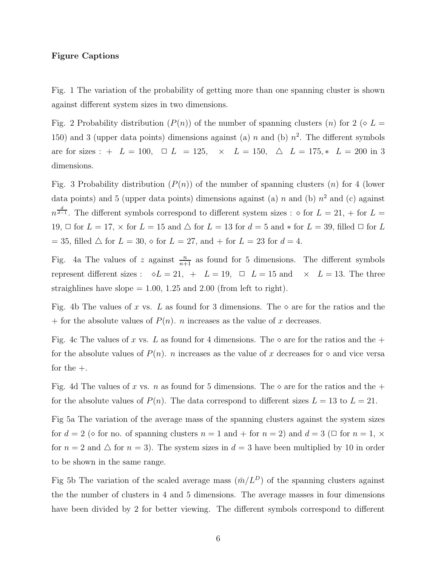## Figure Captions

Fig. 1 The variation of the probability of getting more than one spanning cluster is shown against different system sizes in two dimensions.

Fig. 2 Probability distribution  $(P(n))$  of the number of spanning clusters  $(n)$  for  $2 (\diamond L =$ 150) and 3 (upper data points) dimensions against (a) n and (b)  $n^2$ . The different symbols are for sizes : +  $L = 100$ ,  $\Box L = 125$ ,  $\times L = 150$ ,  $\triangle L = 175$ ,  $\times L = 200$  in 3 dimensions.

Fig. 3 Probability distribution  $(P(n))$  of the number of spanning clusters  $(n)$  for 4 (lower data points) and 5 (upper data points) dimensions against (a)  $n$  and (b)  $n<sup>2</sup>$  and (c) against  $n^{\frac{d}{d-1}}$ . The different symbols correspond to different system sizes :  $\diamond$  for  $L = 21$ , + for  $L =$ 19,  $\Box$  for  $L = 17$ ,  $\times$  for  $L = 15$  and  $\triangle$  for  $L = 13$  for  $d = 5$  and  $*$  for  $L = 39$ , filled  $\Box$  for  $L$  $= 35$ , filled  $\triangle$  for  $L = 30$ ,  $\diamond$  for  $L = 27$ , and  $+$  for  $L = 23$  for  $d = 4$ .

Fig. 4a The values of z against  $\frac{n}{n+1}$  as found for 5 dimensions. The different symbols represent different sizes :  $\diamond L = 21$ ,  $+ L = 19$ ,  $\Box L = 15$  and  $\times L = 13$ . The three straighlines have slope  $= 1.00, 1.25$  and  $2.00$  (from left to right).

Fig. 4b The values of x vs. L as found for 3 dimensions. The  $\diamond$  are for the ratios and the + for the absolute values of  $P(n)$ . *n* increases as the value of x decreases.

Fig. 4c The values of x vs. L as found for 4 dimensions. The  $\diamond$  are for the ratios and the + for the absolute values of  $P(n)$ . *n* increases as the value of x decreases for  $\diamond$  and vice versa for the  $+$ .

Fig. 4d The values of x vs. n as found for 5 dimensions. The  $\diamond$  are for the ratios and the + for the absolute values of  $P(n)$ . The data correspond to different sizes  $L = 13$  to  $L = 21$ .

Fig 5a The variation of the average mass of the spanning clusters against the system sizes for  $d = 2$  ( $\diamond$  for no. of spanning clusters  $n = 1$  and  $+$  for  $n = 2$ ) and  $d = 3$  ( $\Box$  for  $n = 1, \times$ for  $n = 2$  and  $\triangle$  for  $n = 3$ ). The system sizes in  $d = 3$  have been multiplied by 10 in order to be shown in the same range.

Fig 5b The variation of the scaled average mass  $(\bar{m}/L^D)$  of the spanning clusters against the the number of clusters in 4 and 5 dimensions. The average masses in four dimensions have been divided by 2 for better viewing. The different symbols correspond to different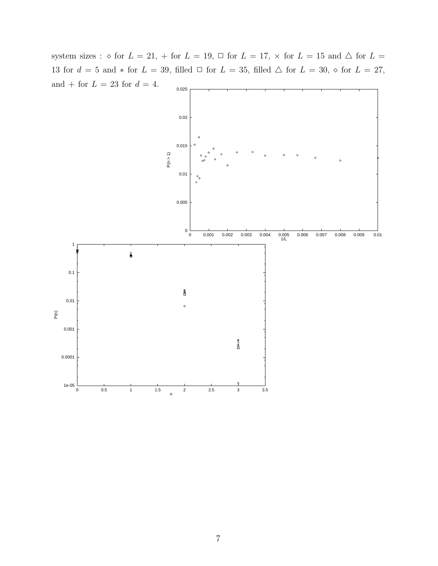system sizes :  $\diamond$  for  $L = 21$ , + for  $L = 19$ ,  $\Box$  for  $L = 17$ ,  $\times$  for  $L = 15$  and  $\triangle$  for  $L =$ 13 for  $d = 5$  and  $*$  for  $L = 39$ , filled  $\Box$  for  $L = 35$ , filled  $\triangle$  for  $L = 30$ ,  $\diamond$  for  $L = 27$ , and + for  $L = 23$  for  $d = 4$ . 0.025

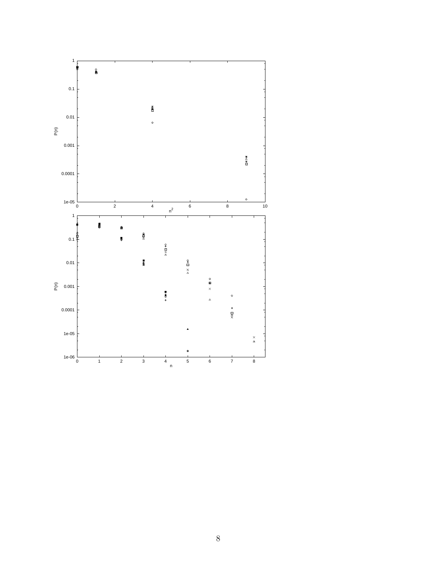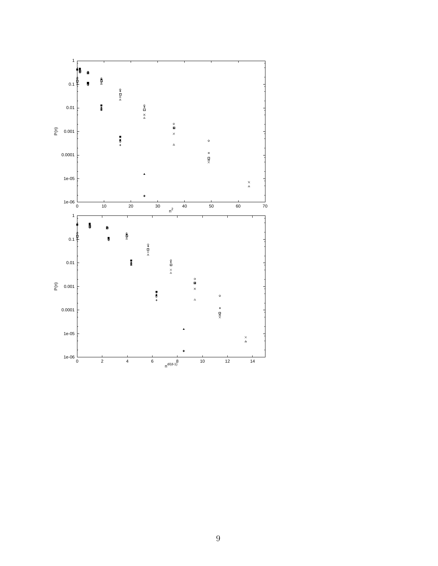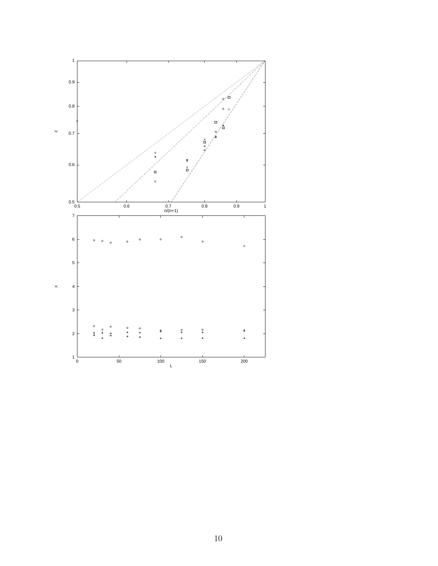

10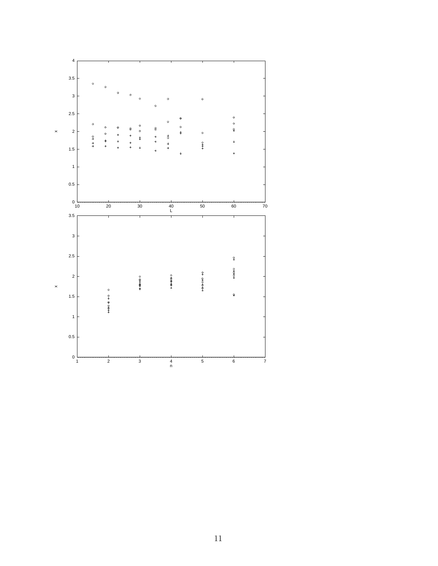